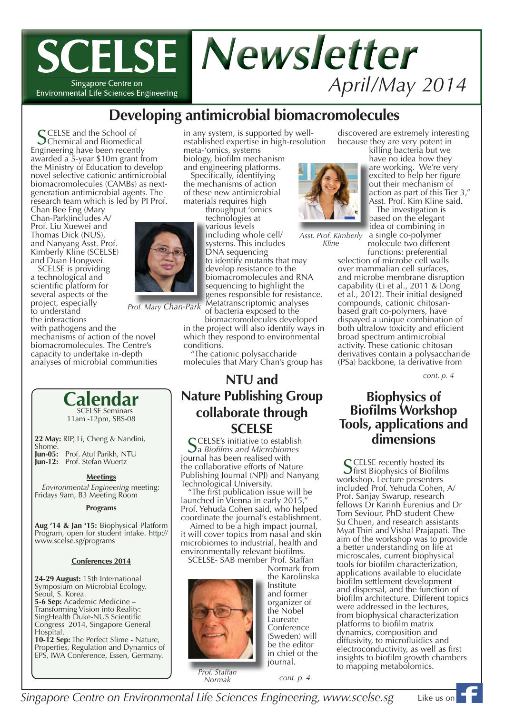### **SCELSE Newsletter** *April/May 2014* Singapore Centre on Environmental Life Sciences Engineering

### **Developing antimicrobial biomacromolecules**

in any system, is supported by wellestablished expertise in high-resolution

> throughput 'omics technologies at t various levels v including whole cell/ systems. This includes DNA sequencing

meta-'omics, systems biology, biofilm mechanism and engineering platforms. Specifically, identifying the mechanisms of action of these new antimicrobial materials requires high

> i s

SCELSE and the School of<br>
Schemical and Biomedical<br>
Science have been recently Engineering have been recently awarded a 5-year \$10m grant from the Ministry of Education to develop novel selective cationic antimicrobial biomacromolecules (CAMBs) as nextgeneration antimicrobial agents. The research team which is led by PI Prof.

Chan Bee Eng (Mary Chan-Park)includes A/ Prof. Liu Xuewei and Thomas Dick (NUS), and Nanyang Asst. Prof. Kimberly Kline (SCELSE) and Duan Hongwei.

SCELSE is providing a technological and scientific platform for several aspects of the project, especially to understand the interactions with pathogens and the

mechanisms of action of the novel biomacromolecules. The Centre's capacity to undertake in-depth analyses of microbial communities

> Calendar 11am -12pm, SBS-08

**Meetings** *Environmental Engineering* meeting: Fridays 9am, B3 Meeting Room

**Programs**

**Aug '14 & Jan '15:** Biophysical Platform Program, open for student intake. http://

**Conferences 2014**

**10-12 Sep:** The Perfect Slime - Nature, Properties, Regulation and Dynamics of EPS, IWA Conference, Essen, Germany.

**24-29 August:** 15th International Symposium on Microbial Ecology.

**5-6 Sep:** Academic Medicine – Transforming Vision into Reality: SingHealth Duke-NUS Scientific Congress 2014, Singapore General

**22 May:** RIP, Li, Cheng & Nandini,

**Jun-05:** Prof. Atul Parikh, NTU **Jun-12:** Prof. Stefan Wuertz

www.scelse.sg/programs

Seoul, S. Korea.

Hospital.

Shome.



Metatranscriptomic analyses M *Prof. Mary Chan-Park*

of bacteria exposed to the biomacromolecules developed in the project will also identify ways in which they respond to environmental conditions.

to identify mutants that may develop resistance to the d biomacromolecules and RNA b sequencing to highlight the s genes responsible for resistance. g

"The cationic polysaccharide molecules that Mary Chan's group has

### **NTU and Nature Publishing Group collaborate through SCELSE**<br>**CELSE's initiative to establish**

SCELSE's initiative to establish<br>Sa *Biofilms and Microbiomes*<br>wavel bee heap realised with journal has been realised with the collaborative efforts of Nature Publishing Journal (NPJ) and Nanyang

Technological University.<br>"The first publication issue will be launched in Vienna in early 2015," Prof. Yehuda Cohen said, who helped coordinate the journal's establishment.

Aimed to be a high impact journal, it will cover topics from nasal and skin microbiomes to industrial, health and environmentally relevant biofilms.

SCELSE- SAB member Prof. Staffan



Normark from the Karolinska Institute and former organizer of the Nobel Laureate Conference (Sweden) will be the editor in chief of the journal.

*Normak*

discovered are extremely interesting because they are very potent in<br>killing bacteria but we

have no idea how they are working. We're very a excited to help her figure out their mechanism of action as part of this Tier 3," a Asst. Prof. Kim Kline said. A

The investigation is based on the elegant b idea of combining in i

a single co-polymer molecule two different functions: preferential

*Asst. Prof. Kimberly f bl Kline*

> selection of microbe cell walls over mammalian cell surfaces, and microbe membrane disruption capability (Li et al., 2011 & Dong et al., 2012). Their initial designed compounds, cationic chitosanbased graft co-polymers, have dispayed a unique combination of both ultralow toxicity and efficient broad spectrum antimicrobial activity. These cationic chitosan derivatives contain a polysaccharide (PSa) backbone, (a derivative from

> > *cont. p. 4*

### **Biophysics of Biofilms Workshop Tools, applications and dimensions**

SCELSE recently hosted its<br>Sfirst Biophysics of Biofilms workshop. Lecture presenters included Prof. Yehuda Cohen, A/ Prof. Sanjay Swarup, research fellows Dr Karinh Eurenius and Dr Tom Seviour, PhD student Chew Su Chuen, and research assistants Myat Thiri and Vishal Prajapati. The aim of the workshop was to provide a better understanding on life at microscales, current biophysical tools for biofilm characterization, applications available to elucidate biofilm settlement development and dispersal, and the function of biofilm architecture. Different topics were addressed in the lectures, from biophysical characterization platforms to biofilm matrix dynamics, composition and diffusivity, to microfluidics and electroconductivity, as well as first insights to biofilm growth chambers to mapping metabolomics.

*Prof. Staffan* 

*cont. p. 4*

*Singapore Centre on Environmental Life Sciences Engineering, www.scelse.sg* 1

Like us on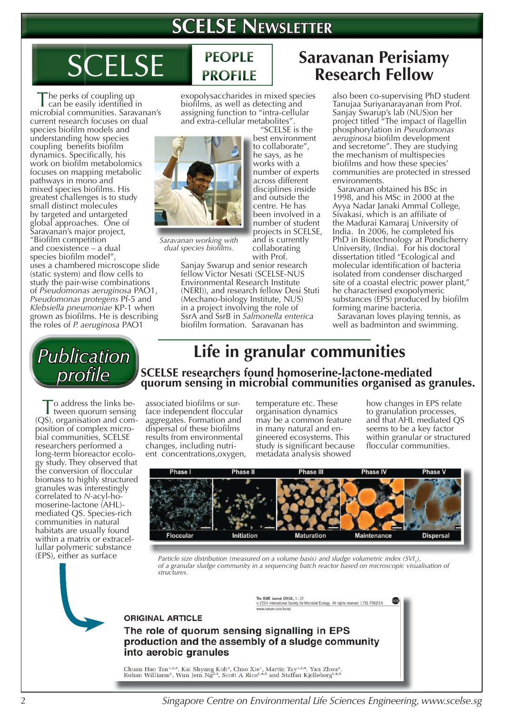## **SCELSE NEWSLETTER**

# **SCELSE**

he perks of coupling up" can be easily identified in microbial communities. Saravanan's current research focuses on dual species biofilm models and understanding how species coupling benefits biofilm dynamics. Specifically, his work on biofilm metabolomics focuses on mapping metabolic pathways in mono and mixed species biofilms. His greatest challenges is to study small distinct molecules by targeted and untargeted global approaches. One of Saravanan's major project, "Biofilm competition and coexistence – a dual species biofilm model",

uses a chambered microscope slide (static system) and flow cells to study the pair-wise combinations of *Pseudomonas aeruginosa* PAO1, *Pseudomonas protegens* Pf-5 and *Klebsiella pneumoniae* KP-1 when grown as biofilms. He is describing the roles of *P. aeruginosa* PAO1



To address the links be-tween quorum sensing (QS), organisation and composition of complex microbial communities, SCELSE researchers performed a long-term bioreactor ecology study. They observed that the conversion of floccular biomass to highly structured granules was interestingly correlated to *N-*acyl-homoserine-lactone (AHL) mediated QS. Species-rich communities in natural habitats are usually found within a matrix or extracellullar polymeric substance (EPS), either as surface

### **PEOPLE PROFILE**

exopolysaccharides in mixed species biofilms, as well as detecting and assigning function to "intra-cellular and extra-cellular metabolites". "SCELSE is the

> best environment b to collaborate", he says, as he h works with a w number of experts n across different a disciplines inside d and outside the a centre. He has c been involved in a b number of student n projects in SCELSE, p and is currently collaborating



*Saravanan working with*  dual species biofilms.

with Prof. Sanjay Swarup and senior research fellow Victor Nesati (SCELSE-NUS Environmental Research Institute (NERI)), and research fellow Desi Stuti (Mechano-biology Institute, NUS) in a project involving the role of SsrA and SsrB in *Salmonella enterica* biofilm formation. Saravanan has

### **Saravanan Perisiamy Research Fellow**

also been co-supervising PhD student Tanujaa Suriyanarayanan from Prof. Sanjay Swarup's lab (NUS)on her project titled "The impact of flagellin phosphorylation in *Pseudomonas aeruginosa* biofilm development and secretome". They are studying the mechanism of multispecies<br>biofilms and how these species' communities are protected in stressed environments.

 Saravanan obtained his BSc in 1998, and his MSc in 2000 at the Ayya Nadar Janaki Ammal College, Sivakasi, which is an affiliate of the Madurai Kamaraj University of India. In 2006, he completed his PhD in Biotechnology at Pondicherry University, (India). For his doctoral dissertation titled "Ecological and molecular identification of bacteria isolated from condenser discharged site of a coastal electric power plant," he characterised exopolymeric substances (EPS) produced by biofilm forming marine bacteria.

 Saravanan loves playing tennis, as well as badminton and swimming.

# **Life in granular communities**

**SCELSE researchers found homoserine-lactone-mediated quorum sensing in microbial communities organised as granules.** 

associated biofilms or surface independent floccular aggregates. Formation and dispersal of these biofilms results from environmental changes, including nutrient concentrations,oxygen, temperature etc. These organisation dynamics may be a common feature in many natural and engineered ecosystems. This study is significant because metadata analysis showed

how changes in EPS relate to granulation processes, and that AHL mediated QS seems to be a key factor within granular or structured floccular communities.



*Particle size distribution (measured on a volume basis) and sludge volumetric index (SVI<sub>5</sub>), of a granular sludge community in a sequencing batch reactor based on microscopic visualisation of structures.*

> The ISME Journal (2014), 1-12<br>© 2014 International Society for Microbial Ecology All rights reserved 1751-7362/14 nature.com/ismei

#### **ORIGINAL ARTICLE**

The role of quorum sensing signalling in EPS production and the assembly of a sludge community into aerobic granules

Chuan Hao Tan<br/>1.2.3, Kai Shyang Koh<sup>1</sup>, Chao Xie<sup>1</sup>, Martin Tay $^{1,2,4}$ , Yan Zhou<br/>², Rohan Williams<br><sup>1</sup>, Wun Jern Ng<sup>2,3</sup>, Scott A Rice<br/> $^{1,4,5}$  and Staffan Kjelleberg $^{1,4,5}$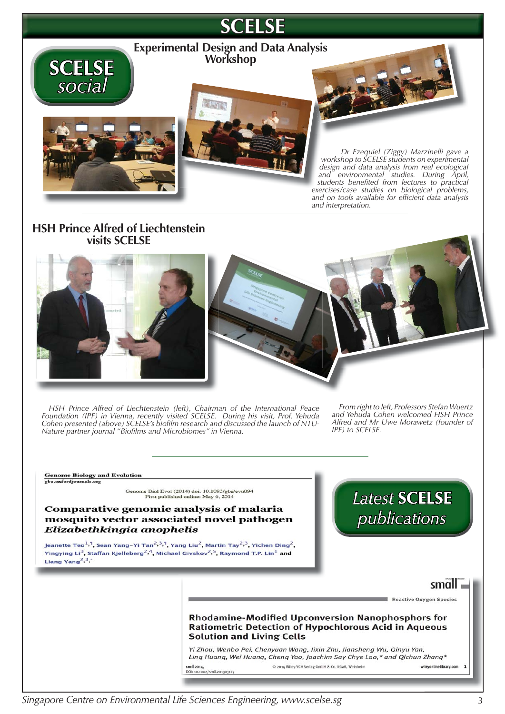

#### **HSH Prince Alfred of Liechtenstein visits SCELSE**



*HSH Prince Alfred of Liechtenstein (left), Chairman of the International Peace Foundation (IPF) in Vienna, recently visited SCELSE. During his visit, Prof. Yehuda*  Cohen presented (above) SCELSE's biofilm research and discussed the launch of NTU-*Nature partner journal "Biofi lms and Microbiomes" in Vienna.*

*From right to left, Professors Stefan Wuertz and Yehuda Cohen welcomed HSH Prince Alfred and Mr Uwe Morawetz (founder of IPF) to SCELSE.*

**Genome Biology and Evolution** 

gbe.oxfordjournals.org

Genome Biol Evol (2014) doi: 10.1093/gbe/evu094<br>First published online: May 6, 2014

#### **Comparative genomic analysis of malaria** mosquito vector associated novel pathogen Elizabethkingia anophelis

Jeanette Teo<sup>1,1</sup>, Sean Yang-Yi Tan<sup>2,3,1</sup>, Yang Liu<sup>2</sup>, Martin Tay<sup>2,3</sup>, Yichen Ding<sup>2</sup>, Yingying Li<sup>3</sup>, Staffan Kjelleberg<sup>2, 4</sup>, Michael Givskov<sup>2, 5</sup>, Raymond T.P. Lin<sup>1</sup> and Liang Yang<sup>2,3</sup>,



#### $small.$

Reactive Oxygen Species

#### **Rhodamine-Modified Upconversion Nanophosphors for Ratiometric Detection of Hypochlorous Acid in Aqueous Solution and Living Cells**

Yi Zhou, Wenbo Pei, Chenyuan Wang, Jixin Zhu, Jiansheng Wu, Qinyu Yan, Ling Huang, Wei Huang, Cheng Yao, Joachim Say Chye Loo,\* and Qichun Zhang\* small 2014,<br>DOI: 10.1002/5mll.201303127 © 2014 Wiley-VCH Verlag GmbH & Co. KGaA, Weinheim wileyonlinelibrary.com 1